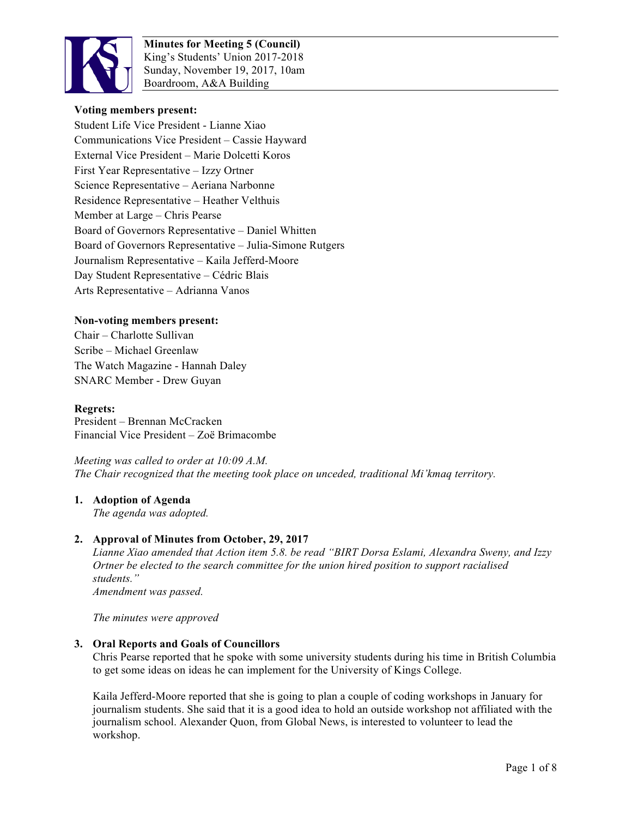

**Minutes for Meeting 5 (Council)** King's Students' Union 2017-2018 Sunday, November 19, 2017, 10am Boardroom, A&A Building

## **Voting members present:**

Student Life Vice President - Lianne Xiao Communications Vice President – Cassie Hayward External Vice President – Marie Dolcetti Koros First Year Representative – Izzy Ortner Science Representative – Aeriana Narbonne Residence Representative – Heather Velthuis Member at Large – Chris Pearse Board of Governors Representative – Daniel Whitten Board of Governors Representative – Julia-Simone Rutgers Journalism Representative – Kaila Jefferd-Moore Day Student Representative – Cédric Blais Arts Representative – Adrianna Vanos

## **Non-voting members present:**

Chair – Charlotte Sullivan Scribe – Michael Greenlaw The Watch Magazine - Hannah Daley SNARC Member - Drew Guyan

## **Regrets:**

President – Brennan McCracken Financial Vice President – Zoë Brimacombe

*Meeting was called to order at 10:09 A.M. The Chair recognized that the meeting took place on unceded, traditional Mi'kmaq territory.*

## **1. Adoption of Agenda**

*The agenda was adopted.*

## **2. Approval of Minutes from October, 29, 2017**

*Lianne Xiao amended that Action item 5.8. be read "BIRT Dorsa Eslami, Alexandra Sweny, and Izzy Ortner be elected to the search committee for the union hired position to support racialised students." Amendment was passed.* 

*The minutes were approved*

#### **3. Oral Reports and Goals of Councillors**

Chris Pearse reported that he spoke with some university students during his time in British Columbia to get some ideas on ideas he can implement for the University of Kings College.

Kaila Jefferd-Moore reported that she is going to plan a couple of coding workshops in January for journalism students. She said that it is a good idea to hold an outside workshop not affiliated with the journalism school. Alexander Quon, from Global News, is interested to volunteer to lead the workshop.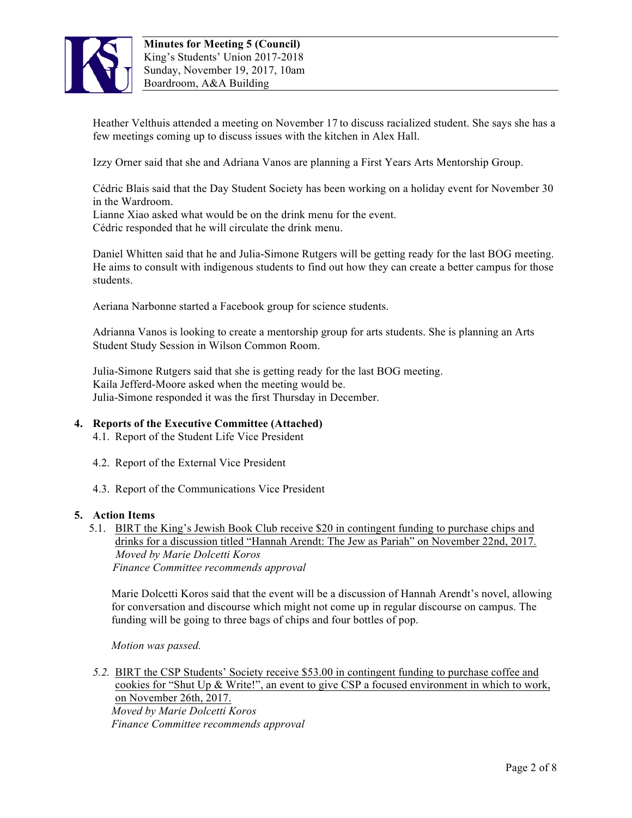

Heather Velthuis attended a meeting on November 17 to discuss racialized student. She says she has a few meetings coming up to discuss issues with the kitchen in Alex Hall.

Izzy Orner said that she and Adriana Vanos are planning a First Years Arts Mentorship Group.

Cédric Blais said that the Day Student Society has been working on a holiday event for November 30 in the Wardroom.

Lianne Xiao asked what would be on the drink menu for the event. Cédric responded that he will circulate the drink menu.

Daniel Whitten said that he and Julia-Simone Rutgers will be getting ready for the last BOG meeting. He aims to consult with indigenous students to find out how they can create a better campus for those students.

Aeriana Narbonne started a Facebook group for science students.

Adrianna Vanos is looking to create a mentorship group for arts students. She is planning an Arts Student Study Session in Wilson Common Room.

Julia-Simone Rutgers said that she is getting ready for the last BOG meeting. Kaila Jefferd-Moore asked when the meeting would be. Julia-Simone responded it was the first Thursday in December.

# **4. Reports of the Executive Committee (Attached)**

- 4.1. Report of the Student Life Vice President
- 4.2. Report of the External Vice President
- 4.3. Report of the Communications Vice President

## **5. Action Items**

5.1. BIRT the King's Jewish Book Club receive \$20 in contingent funding to purchase chips and drinks for a discussion titled "Hannah Arendt: The Jew as Pariah" on November 22nd, 2017.  *Moved by Marie Dolcetti Koros Finance Committee recommends approval*

Marie Dolcetti Koros said that the event will be a discussion of Hannah Arendt's novel, allowing for conversation and discourse which might not come up in regular discourse on campus. The funding will be going to three bags of chips and four bottles of pop.

*Motion was passed.*

*5.2.* BIRT the CSP Students' Society receive \$53.00 in contingent funding to purchase coffee and cookies for "Shut Up  $\&$  Write!", an event to give CSP a focused environment in which to work, on November 26th, 2017.

*Moved by Marie Dolcetti Koros Finance Committee recommends approval*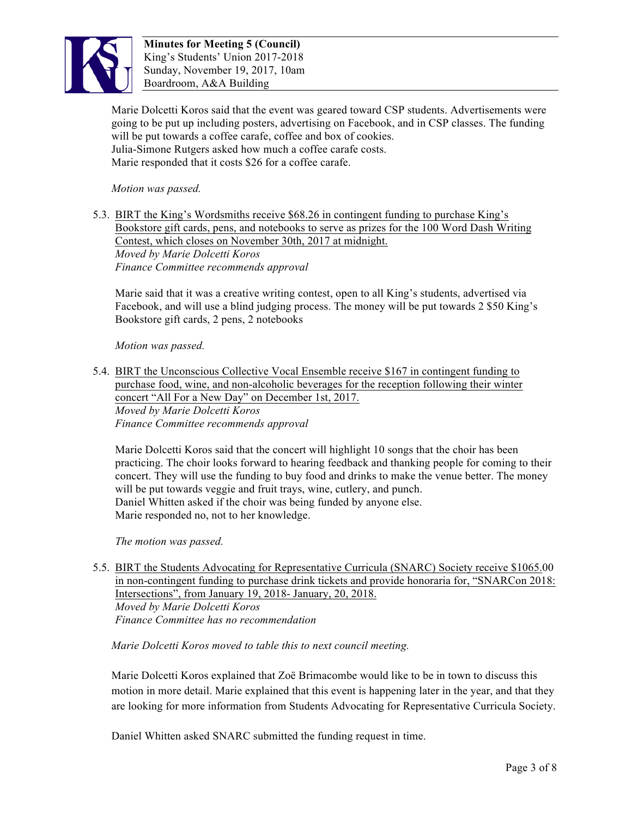

Marie Dolcetti Koros said that the event was geared toward CSP students. Advertisements were going to be put up including posters, advertising on Facebook, and in CSP classes. The funding will be put towards a coffee carafe, coffee and box of cookies. Julia-Simone Rutgers asked how much a coffee carafe costs. Marie responded that it costs \$26 for a coffee carafe.

*Motion was passed.* 

5.3. BIRT the King's Wordsmiths receive \$68.26 in contingent funding to purchase King's Bookstore gift cards, pens, and notebooks to serve as prizes for the 100 Word Dash Writing Contest, which closes on November 30th, 2017 at midnight. *Moved by Marie Dolcetti Koros Finance Committee recommends approval*

Marie said that it was a creative writing contest, open to all King's students, advertised via Facebook, and will use a blind judging process. The money will be put towards 2 \$50 King's Bookstore gift cards, 2 pens, 2 notebooks

## *Motion was passed.*

5.4. BIRT the Unconscious Collective Vocal Ensemble receive \$167 in contingent funding to purchase food, wine, and non-alcoholic beverages for the reception following their winter concert "All For a New Day" on December 1st, 2017. *Moved by Marie Dolcetti Koros Finance Committee recommends approval*

Marie Dolcetti Koros said that the concert will highlight 10 songs that the choir has been practicing. The choir looks forward to hearing feedback and thanking people for coming to their concert. They will use the funding to buy food and drinks to make the venue better. The money will be put towards veggie and fruit trays, wine, cutlery, and punch. Daniel Whitten asked if the choir was being funded by anyone else. Marie responded no, not to her knowledge.

*The motion was passed.*

5.5. BIRT the Students Advocating for Representative Curricula (SNARC) Society receive \$1065.00 in non-contingent funding to purchase drink tickets and provide honoraria for, "SNARCon 2018: Intersections", from January 19, 2018- January, 20, 2018. *Moved by Marie Dolcetti Koros Finance Committee has no recommendation*

*Marie Dolcetti Koros moved to table this to next council meeting.* 

Marie Dolcetti Koros explained that Zoë Brimacombe would like to be in town to discuss this motion in more detail. Marie explained that this event is happening later in the year, and that they are looking for more information from Students Advocating for Representative Curricula Society.

Daniel Whitten asked SNARC submitted the funding request in time.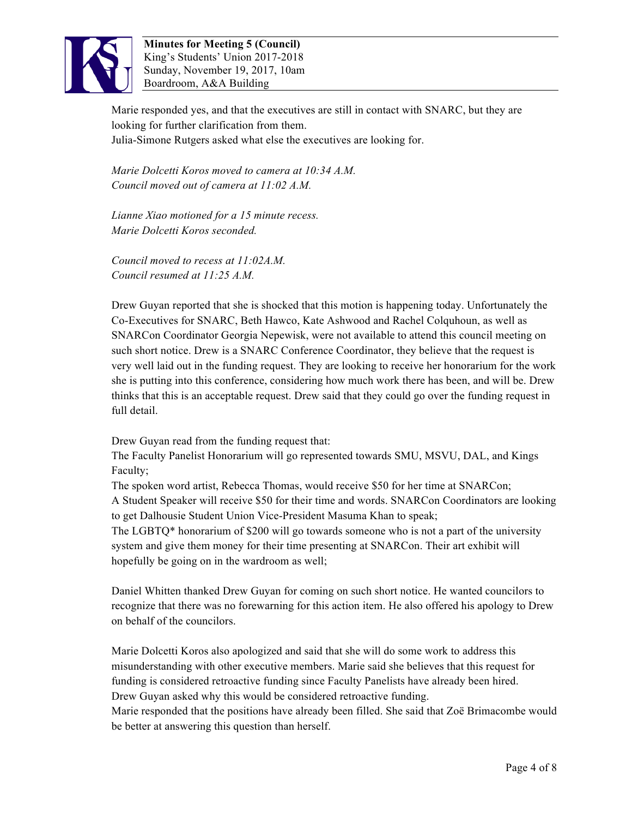

**Minutes for Meeting 5 (Council)** King's Students' Union 2017-2018 Sunday, November 19, 2017, 10am Boardroom, A&A Building

Marie responded yes, and that the executives are still in contact with SNARC, but they are looking for further clarification from them. Julia-Simone Rutgers asked what else the executives are looking for.

*Marie Dolcetti Koros moved to camera at 10:34 A.M. Council moved out of camera at 11:02 A.M.*

*Lianne Xiao motioned for a 15 minute recess. Marie Dolcetti Koros seconded.*

*Council moved to recess at 11:02A.M. Council resumed at 11:25 A.M.*

Drew Guyan reported that she is shocked that this motion is happening today. Unfortunately the Co-Executives for SNARC, Beth Hawco, Kate Ashwood and Rachel Colquhoun, as well as SNARCon Coordinator Georgia Nepewisk, were not available to attend this council meeting on such short notice. Drew is a SNARC Conference Coordinator, they believe that the request is very well laid out in the funding request. They are looking to receive her honorarium for the work she is putting into this conference, considering how much work there has been, and will be. Drew thinks that this is an acceptable request. Drew said that they could go over the funding request in full detail.

Drew Guyan read from the funding request that:

The Faculty Panelist Honorarium will go represented towards SMU, MSVU, DAL, and Kings Faculty;

The spoken word artist, Rebecca Thomas, would receive \$50 for her time at SNARCon; A Student Speaker will receive \$50 for their time and words. SNARCon Coordinators are looking to get Dalhousie Student Union Vice-President Masuma Khan to speak;

The LGBTQ\* honorarium of \$200 will go towards someone who is not a part of the university system and give them money for their time presenting at SNARCon. Their art exhibit will hopefully be going on in the wardroom as well;

Daniel Whitten thanked Drew Guyan for coming on such short notice. He wanted councilors to recognize that there was no forewarning for this action item. He also offered his apology to Drew on behalf of the councilors.

Marie Dolcetti Koros also apologized and said that she will do some work to address this misunderstanding with other executive members. Marie said she believes that this request for funding is considered retroactive funding since Faculty Panelists have already been hired. Drew Guyan asked why this would be considered retroactive funding.

Marie responded that the positions have already been filled. She said that Zoë Brimacombe would be better at answering this question than herself.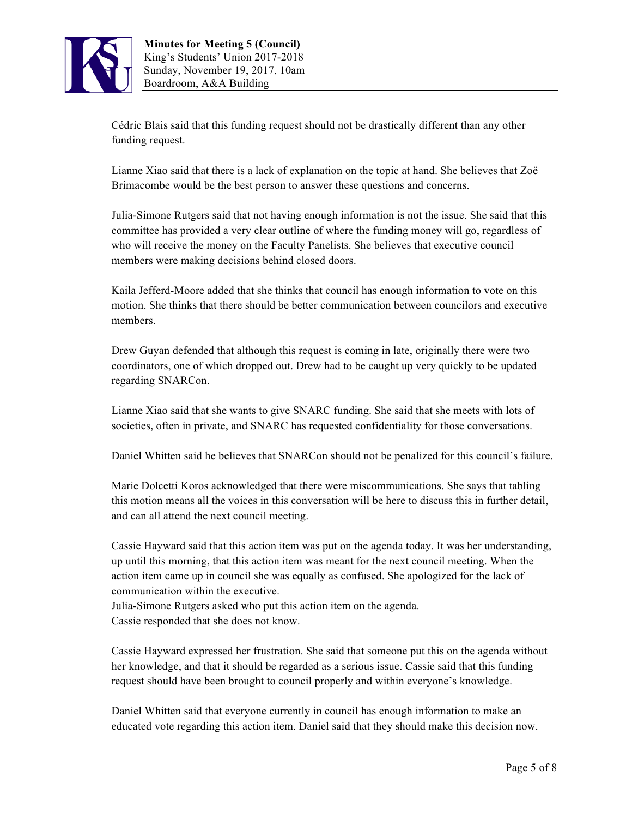

Cédric Blais said that this funding request should not be drastically different than any other funding request.

Lianne Xiao said that there is a lack of explanation on the topic at hand. She believes that Zoë Brimacombe would be the best person to answer these questions and concerns.

Julia-Simone Rutgers said that not having enough information is not the issue. She said that this committee has provided a very clear outline of where the funding money will go, regardless of who will receive the money on the Faculty Panelists. She believes that executive council members were making decisions behind closed doors.

Kaila Jefferd-Moore added that she thinks that council has enough information to vote on this motion. She thinks that there should be better communication between councilors and executive members.

Drew Guyan defended that although this request is coming in late, originally there were two coordinators, one of which dropped out. Drew had to be caught up very quickly to be updated regarding SNARCon.

Lianne Xiao said that she wants to give SNARC funding. She said that she meets with lots of societies, often in private, and SNARC has requested confidentiality for those conversations.

Daniel Whitten said he believes that SNARCon should not be penalized for this council's failure.

Marie Dolcetti Koros acknowledged that there were miscommunications. She says that tabling this motion means all the voices in this conversation will be here to discuss this in further detail, and can all attend the next council meeting.

Cassie Hayward said that this action item was put on the agenda today. It was her understanding, up until this morning, that this action item was meant for the next council meeting. When the action item came up in council she was equally as confused. She apologized for the lack of communication within the executive.

Julia-Simone Rutgers asked who put this action item on the agenda. Cassie responded that she does not know.

Cassie Hayward expressed her frustration. She said that someone put this on the agenda without her knowledge, and that it should be regarded as a serious issue. Cassie said that this funding request should have been brought to council properly and within everyone's knowledge.

Daniel Whitten said that everyone currently in council has enough information to make an educated vote regarding this action item. Daniel said that they should make this decision now.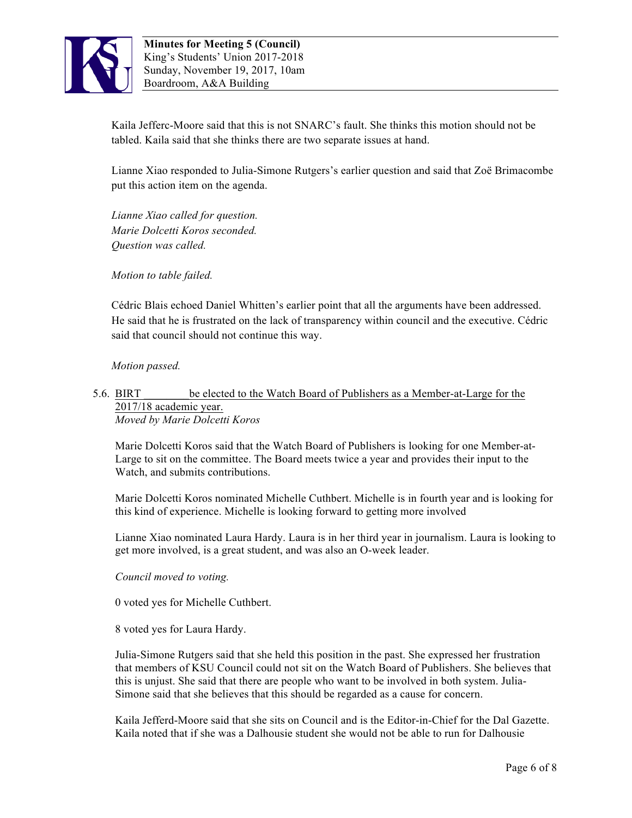

Kaila Jefferc-Moore said that this is not SNARC's fault. She thinks this motion should not be tabled. Kaila said that she thinks there are two separate issues at hand.

Lianne Xiao responded to Julia-Simone Rutgers's earlier question and said that Zoë Brimacombe put this action item on the agenda.

*Lianne Xiao called for question. Marie Dolcetti Koros seconded. Question was called.*

*Motion to table failed.*

Cédric Blais echoed Daniel Whitten's earlier point that all the arguments have been addressed. He said that he is frustrated on the lack of transparency within council and the executive. Cédric said that council should not continue this way.

*Motion passed.*

## 5.6. BIRT \_\_\_\_\_\_\_\_be elected to the Watch Board of Publishers as a Member-at-Large for the 2017/18 academic year. *Moved by Marie Dolcetti Koros*

Marie Dolcetti Koros said that the Watch Board of Publishers is looking for one Member-at-Large to sit on the committee. The Board meets twice a year and provides their input to the Watch, and submits contributions.

Marie Dolcetti Koros nominated Michelle Cuthbert. Michelle is in fourth year and is looking for this kind of experience. Michelle is looking forward to getting more involved

Lianne Xiao nominated Laura Hardy. Laura is in her third year in journalism. Laura is looking to get more involved, is a great student, and was also an O-week leader.

*Council moved to voting.*

0 voted yes for Michelle Cuthbert.

8 voted yes for Laura Hardy.

Julia-Simone Rutgers said that she held this position in the past. She expressed her frustration that members of KSU Council could not sit on the Watch Board of Publishers. She believes that this is unjust. She said that there are people who want to be involved in both system. Julia-Simone said that she believes that this should be regarded as a cause for concern.

Kaila Jefferd-Moore said that she sits on Council and is the Editor-in-Chief for the Dal Gazette. Kaila noted that if she was a Dalhousie student she would not be able to run for Dalhousie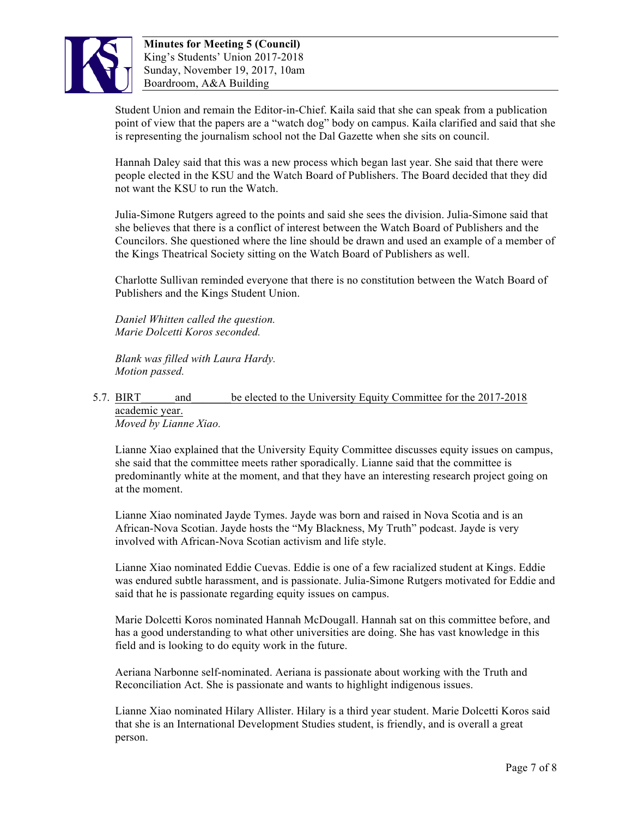

**Minutes for Meeting 5 (Council)** King's Students' Union 2017-2018 Sunday, November 19, 2017, 10am Boardroom, A&A Building

Student Union and remain the Editor-in-Chief. Kaila said that she can speak from a publication point of view that the papers are a "watch dog" body on campus. Kaila clarified and said that she is representing the journalism school not the Dal Gazette when she sits on council.

Hannah Daley said that this was a new process which began last year. She said that there were people elected in the KSU and the Watch Board of Publishers. The Board decided that they did not want the KSU to run the Watch.

Julia-Simone Rutgers agreed to the points and said she sees the division. Julia-Simone said that she believes that there is a conflict of interest between the Watch Board of Publishers and the Councilors. She questioned where the line should be drawn and used an example of a member of the Kings Theatrical Society sitting on the Watch Board of Publishers as well.

Charlotte Sullivan reminded everyone that there is no constitution between the Watch Board of Publishers and the Kings Student Union.

*Daniel Whitten called the question. Marie Dolcetti Koros seconded.*

*Blank was filled with Laura Hardy. Motion passed.*

## 5.7. BIRT and be elected to the University Equity Committee for the 2017-2018 academic year. *Moved by Lianne Xiao.*

Lianne Xiao explained that the University Equity Committee discusses equity issues on campus, she said that the committee meets rather sporadically. Lianne said that the committee is predominantly white at the moment, and that they have an interesting research project going on at the moment.

Lianne Xiao nominated Jayde Tymes. Jayde was born and raised in Nova Scotia and is an African-Nova Scotian. Jayde hosts the "My Blackness, My Truth" podcast. Jayde is very involved with African-Nova Scotian activism and life style.

Lianne Xiao nominated Eddie Cuevas. Eddie is one of a few racialized student at Kings. Eddie was endured subtle harassment, and is passionate. Julia-Simone Rutgers motivated for Eddie and said that he is passionate regarding equity issues on campus.

Marie Dolcetti Koros nominated Hannah McDougall. Hannah sat on this committee before, and has a good understanding to what other universities are doing. She has vast knowledge in this field and is looking to do equity work in the future.

Aeriana Narbonne self-nominated. Aeriana is passionate about working with the Truth and Reconciliation Act. She is passionate and wants to highlight indigenous issues.

Lianne Xiao nominated Hilary Allister. Hilary is a third year student. Marie Dolcetti Koros said that she is an International Development Studies student, is friendly, and is overall a great person.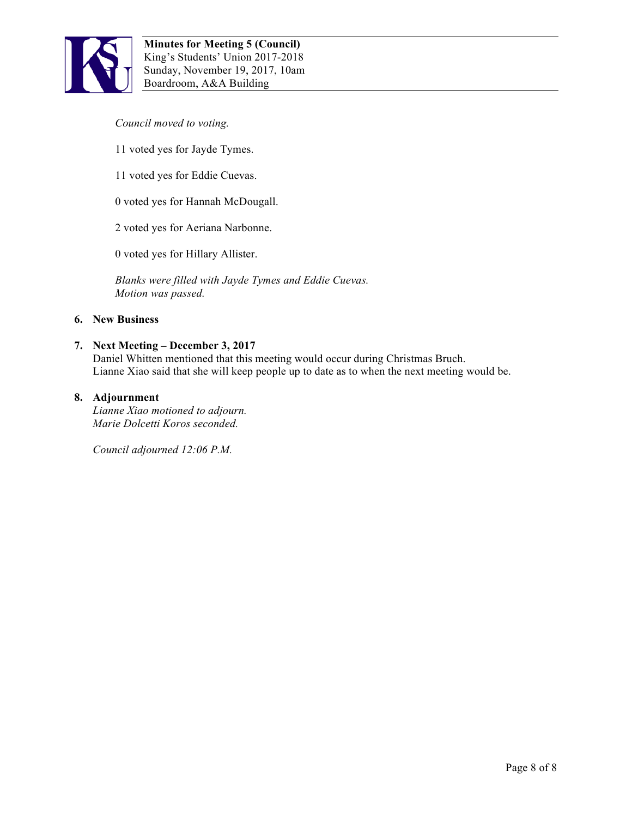

### *Council moved to voting.*

- 11 voted yes for Jayde Tymes.
- 11 voted yes for Eddie Cuevas.
- 0 voted yes for Hannah McDougall.
- 2 voted yes for Aeriana Narbonne.
- 0 voted yes for Hillary Allister.

*Blanks were filled with Jayde Tymes and Eddie Cuevas. Motion was passed.*

#### **6. New Business**

#### **7. Next Meeting – December 3, 2017**

Daniel Whitten mentioned that this meeting would occur during Christmas Bruch. Lianne Xiao said that she will keep people up to date as to when the next meeting would be.

#### **8. Adjournment**

*Lianne Xiao motioned to adjourn. Marie Dolcetti Koros seconded.*

*Council adjourned 12:06 P.M.*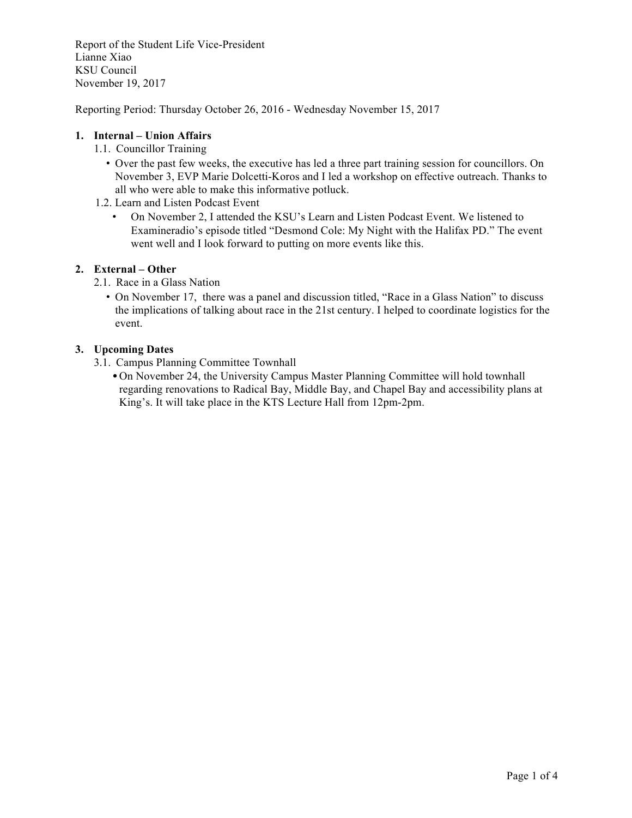Report of the Student Life Vice-President Lianne Xiao KSU Council November 19, 2017

Reporting Period: Thursday October 26, 2016 - Wednesday November 15, 2017

## **1. Internal – Union Affairs**

- 1.1. Councillor Training
	- Over the past few weeks, the executive has led a three part training session for councillors. On November 3, EVP Marie Dolcetti-Koros and I led a workshop on effective outreach. Thanks to all who were able to make this informative potluck.
- 1.2. Learn and Listen Podcast Event
	- On November 2, I attended the KSU's Learn and Listen Podcast Event. We listened to Examineradio's episode titled "Desmond Cole: My Night with the Halifax PD." The event went well and I look forward to putting on more events like this.

## **2. External – Other**

- 2.1. Race in a Glass Nation
	- On November 17, there was a panel and discussion titled, "Race in a Glass Nation" to discuss the implications of talking about race in the 21st century. I helped to coordinate logistics for the event.

## **3. Upcoming Dates**

- 3.1. Campus Planning Committee Townhall
	- On November 24, the University Campus Master Planning Committee will hold townhall regarding renovations to Radical Bay, Middle Bay, and Chapel Bay and accessibility plans at King's. It will take place in the KTS Lecture Hall from 12pm-2pm.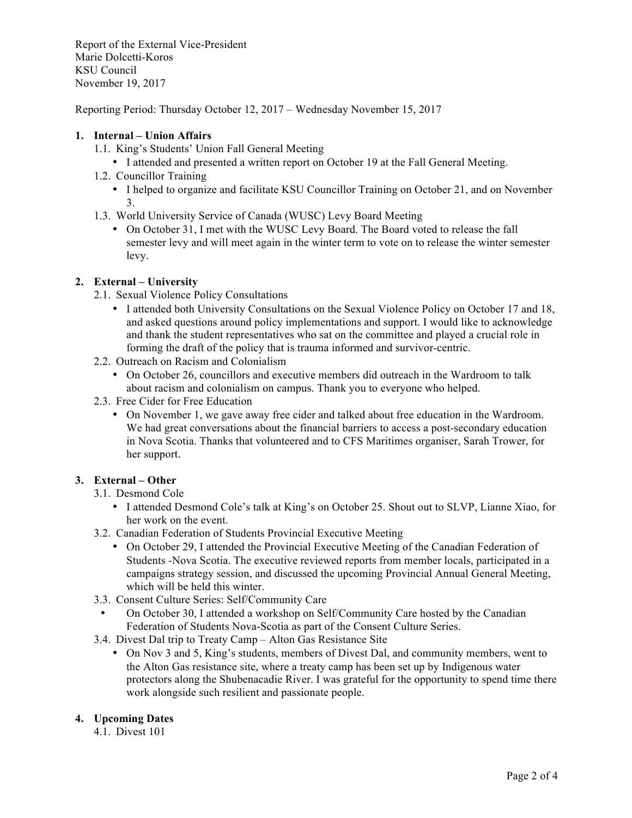Report of the External Vice-President Marie Dolcetti-Koros KSU Council November 19, 2017

Reporting Period: Thursday October 12, 2017 – Wednesday November 15, 2017

## **1. Internal – Union Affairs**

- 1.1. King's Students' Union Fall General Meeting
	- I attended and presented a written report on October 19 at the Fall General Meeting.
- 1.2. Councillor Training
	- I helped to organize and facilitate KSU Councillor Training on October 21, and on November 3.
- 1.3. World University Service of Canada (WUSC) Levy Board Meeting
	- On October 31, I met with the WUSC Levy Board. The Board voted to release the fall semester levy and will meet again in the winter term to vote on to release the winter semester levy.

## **2. External – University**

- 2.1. Sexual Violence Policy Consultations
	- I attended both University Consultations on the Sexual Violence Policy on October 17 and 18, and asked questions around policy implementations and support. I would like to acknowledge and thank the student representatives who sat on the committee and played a crucial role in forming the draft of the policy that is trauma informed and survivor-centric.
- 2.2. Outreach on Racism and Colonialism
	- On October 26, councillors and executive members did outreach in the Wardroom to talk about racism and colonialism on campus. Thank you to everyone who helped.
- 2.3. Free Cider for Free Education
	- On November 1, we gave away free cider and talked about free education in the Wardroom. We had great conversations about the financial barriers to access a post-secondary education in Nova Scotia. Thanks that volunteered and to CFS Maritimes organiser, Sarah Trower, for her support.

# **3. External – Other**

## 3.1. Desmond Cole

- I attended Desmond Cole's talk at King's on October 25. Shout out to SLVP, Lianne Xiao, for her work on the event.
- 3.2. Canadian Federation of Students Provincial Executive Meeting
	- On October 29, I attended the Provincial Executive Meeting of the Canadian Federation of Students -Nova Scotia. The executive reviewed reports from member locals, participated in a campaigns strategy session, and discussed the upcoming Provincial Annual General Meeting, which will be held this winter.
- 3.3. Consent Culture Series: Self/Community Care
	- On October 30, I attended a workshop on Self/Community Care hosted by the Canadian Federation of Students Nova-Scotia as part of the Consent Culture Series.
- 3.4. Divest Dal trip to Treaty Camp Alton Gas Resistance Site
	- On Nov 3 and 5, King's students, members of Divest Dal, and community members, went to the Alton Gas resistance site, where a treaty camp has been set up by Indigenous water protectors along the Shubenacadie River. I was grateful for the opportunity to spend time there work alongside such resilient and passionate people.

# **4. Upcoming Dates**

4.1. Divest 101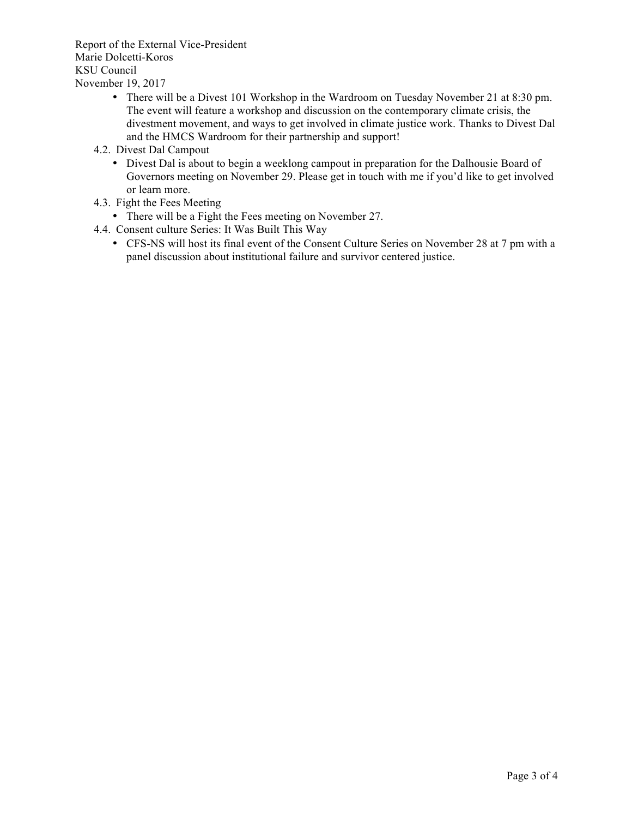Report of the External Vice-President Marie Dolcetti-Koros KSU Council November 19, 2017

- There will be a Divest 101 Workshop in the Wardroom on Tuesday November 21 at 8:30 pm. The event will feature a workshop and discussion on the contemporary climate crisis, the divestment movement, and ways to get involved in climate justice work. Thanks to Divest Dal and the HMCS Wardroom for their partnership and support!
- 4.2. Divest Dal Campout
	- Divest Dal is about to begin a weeklong campout in preparation for the Dalhousie Board of Governors meeting on November 29. Please get in touch with me if you'd like to get involved or learn more.
- 4.3. Fight the Fees Meeting
	- There will be a Fight the Fees meeting on November 27.
- 4.4. Consent culture Series: It Was Built This Way
	- CFS-NS will host its final event of the Consent Culture Series on November 28 at 7 pm with a panel discussion about institutional failure and survivor centered justice.